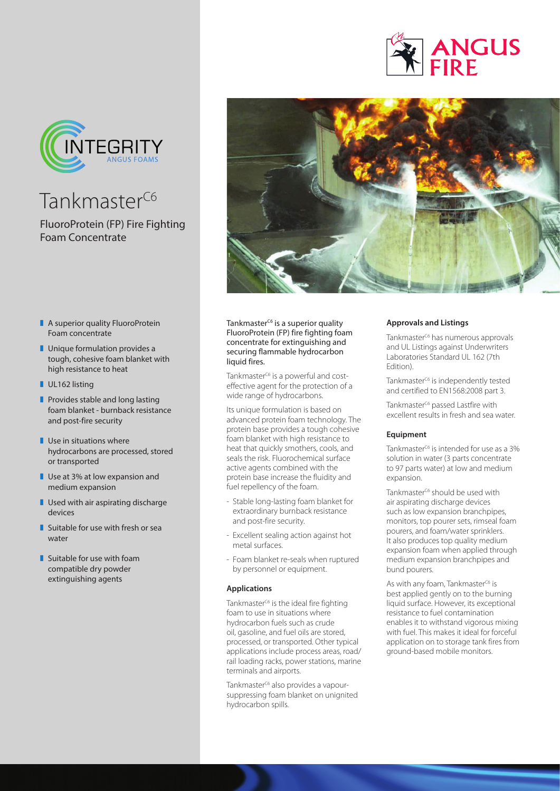



Tankmaster<sup>C6</sup>

FluoroProtein (FP) Fire Fighting Foam Concentrate

- $\blacksquare$  A superior quality FluoroProtein Foam concentrate
- $\blacksquare$  Unique formulation provides a tough, cohesive foam blanket with high resistance to heat
- UL162 listing
- $\blacksquare$  Provides stable and long lasting foam blanket - burnback resistance and post-fire security
- $\blacksquare$  Use in situations where hydrocarbons are processed, stored or transported
- $\blacksquare$  Use at 3% at low expansion and medium expansion
- $\blacksquare$  Used with air aspirating discharge devices
- $\blacksquare$  Suitable for use with fresh or sea water
- $\blacksquare$  Suitable for use with foam compatible dry powder extinguishing agents



Tankmaster<sup>c6</sup> is a superior quality FluoroProtein (FP) fire fighting foam concentrate for extinguishing and securing flammable hydrocarbon liquid fires.

Tankmaster<sup>c6</sup> is a powerful and costeffective agent for the protection of a wide range of hydrocarbons.

Its unique formulation is based on advanced protein foam technology. The protein base provides a tough cohesive foam blanket with high resistance to heat that quickly smothers, cools, and seals the risk. Fluorochemical surface active agents combined with the protein base increase the fluidity and fuel repellency of the foam.

- Stable long-lasting foam blanket for extraordinary burnback resistance and post-fire security.
- Excellent sealing action against hot metal surfaces.
- Foam blanket re-seals when ruptured by personnel or equipment.

# **Applications**

Tankmaster $C_6$  is the ideal fire fighting foam to use in situations where hydrocarbon fuels such as crude oil, gasoline, and fuel oils are stored, processed, or transported. Other typical applications include process areas, road/ rail loading racks, power stations, marine terminals and airports.

Tankmaster<sup>c6</sup> also provides a vapoursuppressing foam blanket on unignited hydrocarbon spills.

# **Approvals and Listings**

Tankmaster<sup>c6</sup> has numerous approvals and UL Listings against Underwriters Laboratories Standard UL 162 (7th Edition).

Tankmaster<sup>c6</sup> is independently tested and certified to EN1568:2008 part 3.

Tankmaster<sup>c6</sup> passed Lastfire with excellent results in fresh and sea water.

# **Equipment**

Tankmaster<sup> $C_6$ </sup> is intended for use as a  $3\%$ solution in water (3 parts concentrate to 97 parts water) at low and medium expansion.

Tankmaster<sup>c6</sup> should be used with air aspirating discharge devices such as low expansion branchpipes. monitors, top pourer sets, rimseal foam pourers, and foam/water sprinklers. It also produces top quality medium expansion foam when applied through medium expansion branchpipes and bund pourers.

As with any foam, Tankmaster<sup>C6</sup> is best applied gently on to the burning liquid surface. However, its exceptional resistance to fuel contamination enables it to withstand vigorous mixing with fuel. This makes it ideal for forceful application on to storage tank fires from ground-based mobile monitors.